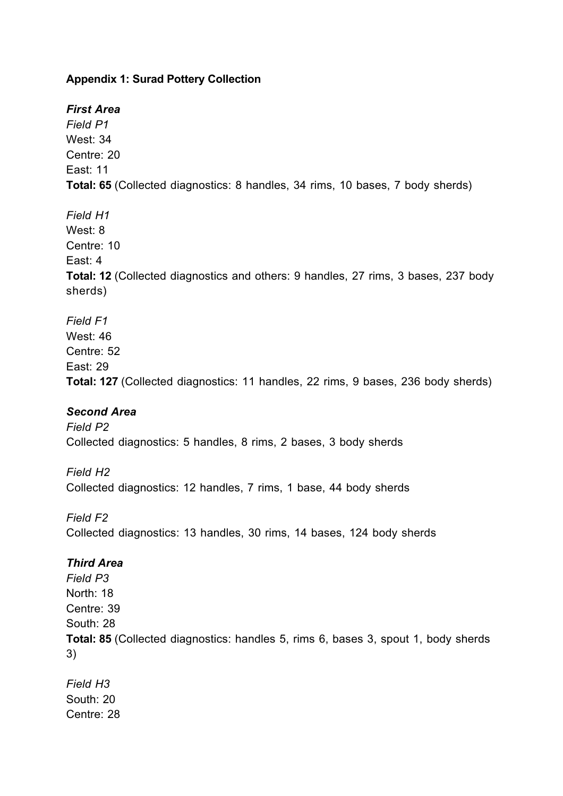## **Appendix 1: Surad Pottery Collection**

# *First Area*

*Field P1* West: 34 Centre: 20 East: 11 **Total: 65** (Collected diagnostics: 8 handles, 34 rims, 10 bases, 7 body sherds)

*Field H1* West: 8 Centre: 10 East: 4 **Total: 12** (Collected diagnostics and others: 9 handles, 27 rims, 3 bases, 237 body sherds)

*Field F1* West: 46 Centre: 52 East: 29 **Total: 127** (Collected diagnostics: 11 handles, 22 rims, 9 bases, 236 body sherds)

# *Second Area*

*Field P2* Collected diagnostics: 5 handles, 8 rims, 2 bases, 3 body sherds

*Field H2* Collected diagnostics: 12 handles, 7 rims, 1 base, 44 body sherds

*Field F2* Collected diagnostics: 13 handles, 30 rims, 14 bases, 124 body sherds

### *Third Area*

*Field P3* North: 18 Centre: 39 South: 28 **Total: 85** (Collected diagnostics: handles 5, rims 6, bases 3, spout 1, body sherds 3)

*Field H3* South: 20 Centre: 28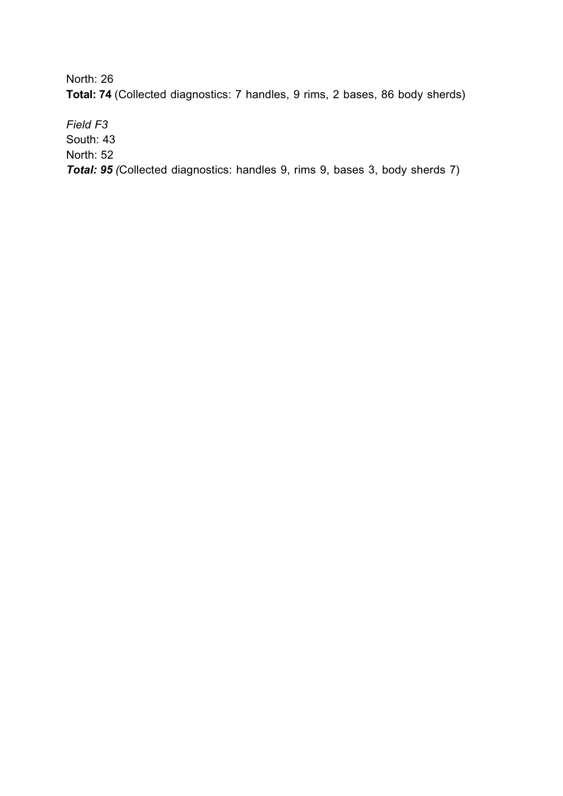North: 26

**Total: 74** (Collected diagnostics: 7 handles, 9 rims, 2 bases, 86 body sherds)

*Field F3*

South: 43

North: 52

*Total: 95 (*Collected diagnostics: handles 9, rims 9, bases 3, body sherds 7)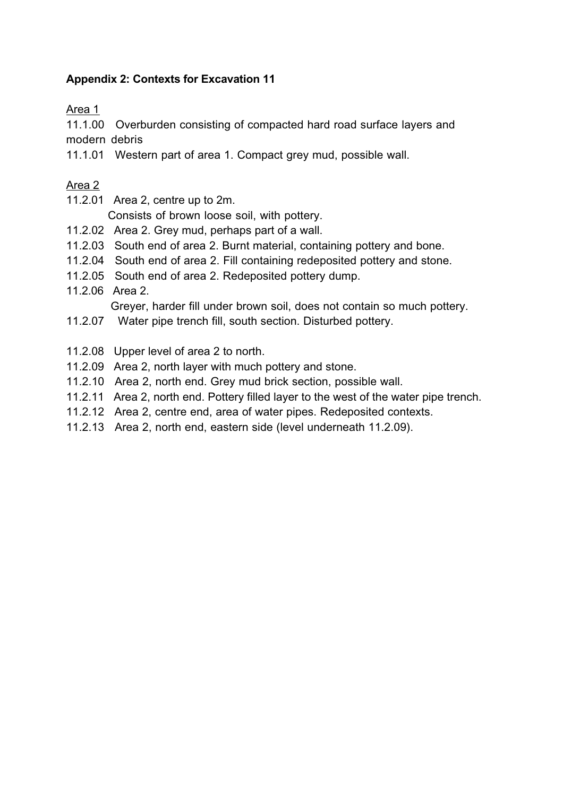## **Appendix 2: Contexts for Excavation 11**

Area 1

11.1.00 Overburden consisting of compacted hard road surface layers and modern debris

11.1.01 Western part of area 1. Compact grey mud, possible wall.

### Area 2

11.2.01 Area 2, centre up to 2m.

Consists of brown loose soil, with pottery.

- 11.2.02 Area 2. Grey mud, perhaps part of a wall.
- 11.2.03 South end of area 2. Burnt material, containing pottery and bone.
- 11.2.04 South end of area 2. Fill containing redeposited pottery and stone.
- 11.2.05 South end of area 2. Redeposited pottery dump.
- 11.2.06 Area 2.

Greyer, harder fill under brown soil, does not contain so much pottery.

- 11.2.07 Water pipe trench fill, south section. Disturbed pottery.
- 11.2.08 Upper level of area 2 to north.
- 11.2.09 Area 2, north layer with much pottery and stone.
- 11.2.10 Area 2, north end. Grey mud brick section, possible wall.
- 11.2.11 Area 2, north end. Pottery filled layer to the west of the water pipe trench.
- 11.2.12 Area 2, centre end, area of water pipes. Redeposited contexts.
- 11.2.13 Area 2, north end, eastern side (level underneath 11.2.09).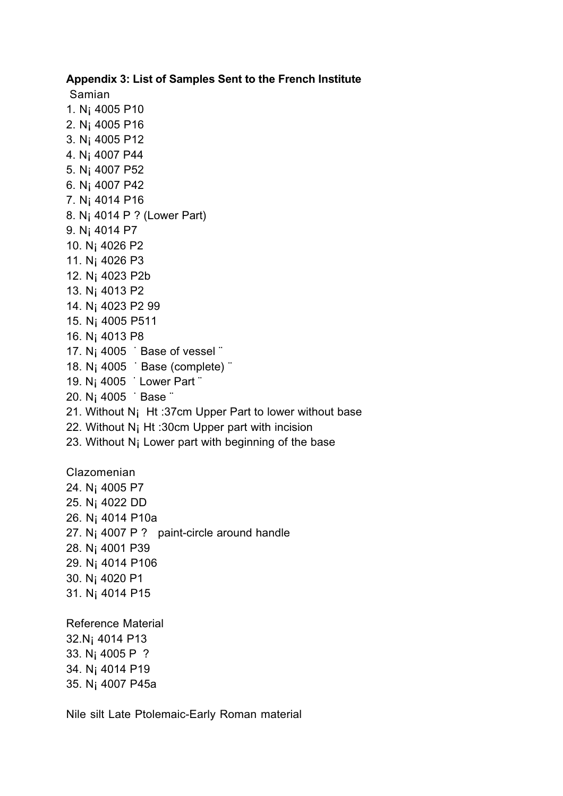#### **Appendix 3: List of Samples Sent to the French Institute**

Samian

1. N¡ 4005 P10 2. N¡ 4005 P16 3. N¡ 4005 P12 4. N¡ 4007 P44 5. N¡ 4007 P52 6. N¡ 4007 P42 7. N¡ 4014 P16 8. N¡ 4014 P ? (Lower Part) 9. N¡ 4014 P7 10. N¡ 4026 P2 11. N¡ 4026 P3 12. N¡ 4023 P2b 13. N¡ 4013 P2 14. N¡ 4023 P2 99 15. N¡ 4005 P511 16. N¡ 4013 P8 17. N<sub>i</sub> 4005 <sup>:</sup> Base of vessel " 18. N<sub>i</sub> 4005 <sup>·</sup> Base (complete) <sup>\*</sup> 19. N¡ 4005 ˙ Lower Part ¨ 20. N¡ 4005 ˙ Base ¨ 21. Without N¡ Ht :37cm Upper Part to lower without base 22. Without N¡ Ht :30cm Upper part with incision 23. Without N¡ Lower part with beginning of the base Clazomenian 24. N¡ 4005 P7 25. N¡ 4022 DD 26. N¡ 4014 P10a 27. N¡ 4007 P ? paint-circle around handle 28. N¡ 4001 P39 29. N¡ 4014 P106 30. N¡ 4020 P1 31. N¡ 4014 P15

Reference Material 32.N¡ 4014 P13 33. N¡ 4005 P ? 34. N¡ 4014 P19 35. N¡ 4007 P45a

Nile silt Late Ptolemaic-Early Roman material